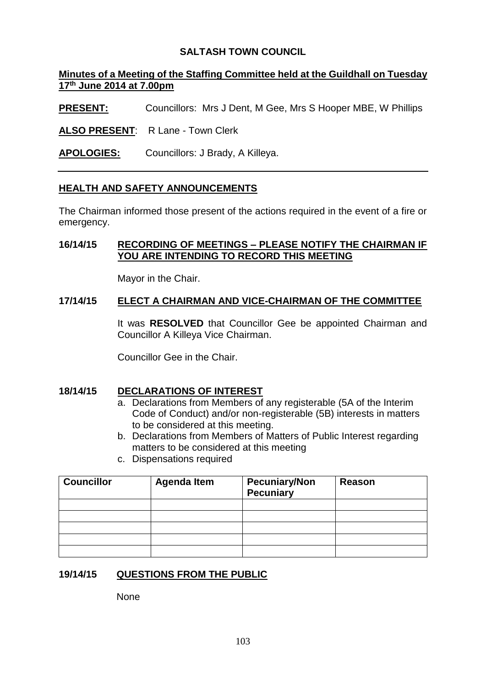# **SALTASH TOWN COUNCIL**

# **Minutes of a Meeting of the Staffing Committee held at the Guildhall on Tuesday 17 th June 2014 at 7.00pm**

**PRESENT:** Councillors: Mrs J Dent, M Gee, Mrs S Hooper MBE, W Phillips

**ALSO PRESENT**: R Lane - Town Clerk

**APOLOGIES:** Councillors: J Brady, A Killeya.

## **HEALTH AND SAFETY ANNOUNCEMENTS**

The Chairman informed those present of the actions required in the event of a fire or emergency.

## **16/14/15 RECORDING OF MEETINGS – PLEASE NOTIFY THE CHAIRMAN IF YOU ARE INTENDING TO RECORD THIS MEETING**

Mayor in the Chair.

### **17/14/15 ELECT A CHAIRMAN AND VICE-CHAIRMAN OF THE COMMITTEE**

It was **RESOLVED** that Councillor Gee be appointed Chairman and Councillor A Killeya Vice Chairman.

Councillor Gee in the Chair.

## **18/14/15 DECLARATIONS OF INTEREST**

- a. Declarations from Members of any registerable (5A of the Interim Code of Conduct) and/or non-registerable (5B) interests in matters to be considered at this meeting.
- b. Declarations from Members of Matters of Public Interest regarding matters to be considered at this meeting
- c. Dispensations required

| <b>Councillor</b> | <b>Agenda Item</b> | <b>Pecuniary/Non</b><br><b>Pecuniary</b> | Reason |
|-------------------|--------------------|------------------------------------------|--------|
|                   |                    |                                          |        |
|                   |                    |                                          |        |
|                   |                    |                                          |        |
|                   |                    |                                          |        |
|                   |                    |                                          |        |

## **19/14/15 QUESTIONS FROM THE PUBLIC**

**None**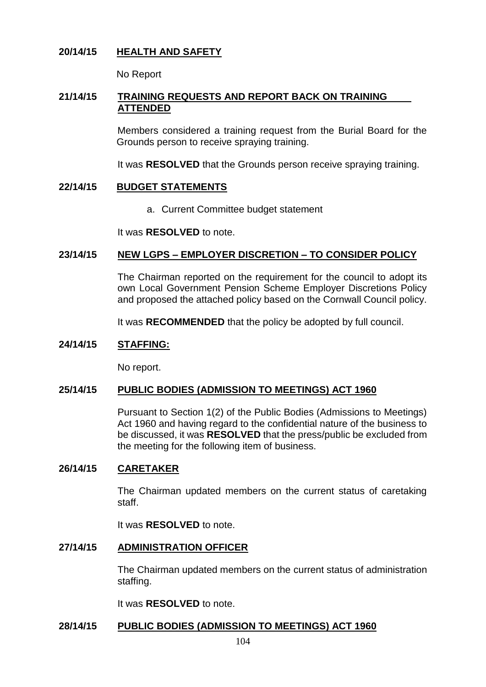# **20/14/15 HEALTH AND SAFETY**

No Report

# **21/14/15 TRAINING REQUESTS AND REPORT BACK ON TRAINING ATTENDED**

Members considered a training request from the Burial Board for the Grounds person to receive spraying training.

It was **RESOLVED** that the Grounds person receive spraying training.

### **22/14/15 BUDGET STATEMENTS**

a. Current Committee budget statement

It was **RESOLVED** to note.

## **23/14/15 NEW LGPS – EMPLOYER DISCRETION – TO CONSIDER POLICY**

The Chairman reported on the requirement for the council to adopt its own Local Government Pension Scheme Employer Discretions Policy and proposed the attached policy based on the Cornwall Council policy.

It was **RECOMMENDED** that the policy be adopted by full council.

## **24/14/15 STAFFING:**

No report.

## **25/14/15 PUBLIC BODIES (ADMISSION TO MEETINGS) ACT 1960**

Pursuant to Section 1(2) of the Public Bodies (Admissions to Meetings) Act 1960 and having regard to the confidential nature of the business to be discussed, it was **RESOLVED** that the press/public be excluded from the meeting for the following item of business.

#### **26/14/15 CARETAKER**

The Chairman updated members on the current status of caretaking staff.

It was **RESOLVED** to note.

#### **27/14/15 ADMINISTRATION OFFICER**

The Chairman updated members on the current status of administration staffing.

It was **RESOLVED** to note.

## **28/14/15 PUBLIC BODIES (ADMISSION TO MEETINGS) ACT 1960**